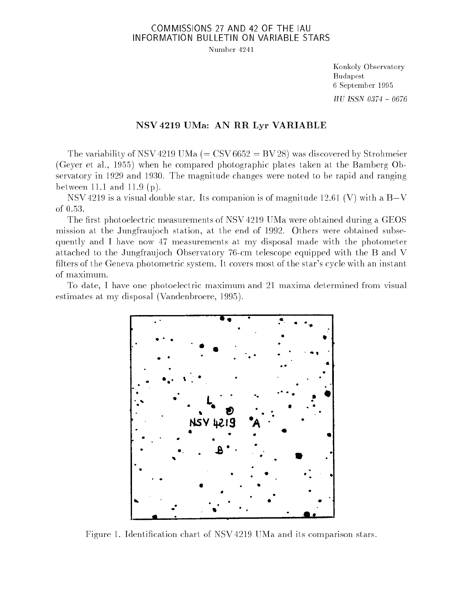## COMMISSIONS 27 AND 42 OF THE IAU INFORMATION BULLETIN ON VARIABLE STARS

Number 4241

Konkoly Observatory Budapest 6 September 1995  $HU$  ISSN 0374 - 0676

## NSV 4219 UMa: AN RR Lyr VARIABLE

The variability of NSV 4219 UMa  $(=$  CSV 6652 = BV 28) was discovered by Strohmeier (Geyer et al., 1955) when he compared photographic plates taken at the Bamberg Observatory in 1929 and 1930. The magnitude changes were noted to be rapid and ranging between 11.1 and 11.9 (p).

NSV 4219 is a visual double star. Its companion is of magnitude 12.61 (V) with a  $B-V$ of 0.53.

The first photoelectric measurements of NSV 4219 UMa were obtained during a GEOS mission at the Jungfraujoch station, at the end of 1992. Others were obtained subsequently and I have now 47 measurements at my disposal made with the photometer attached to the Jungfraujoch Observatory 76-cm telescope equipped with the B and V filters of the Geneva photometric system. It covers most of the star's cycle with an instant of maximum.

To date, I have one photoelectric maximum and 21 maxima determined from visual estimates at my disposal (Vandenbroere, 1995).



Figure 1. Identication chart of NSV 4219 UMa and its comparison stars.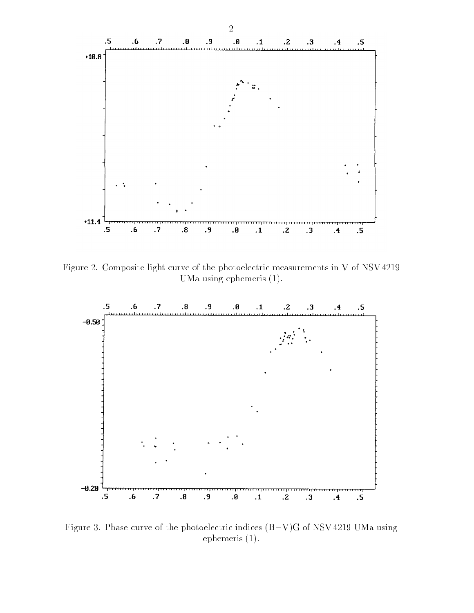

Figure 2. Composite light curve of the photoelectric measurements in V of NSV 4219 UMa using ephemeris (1).



Figure 3. Phase curve of the photoelectric indices  $(B-V)G$  of NSV 4219 UMa using ephemeris (1).